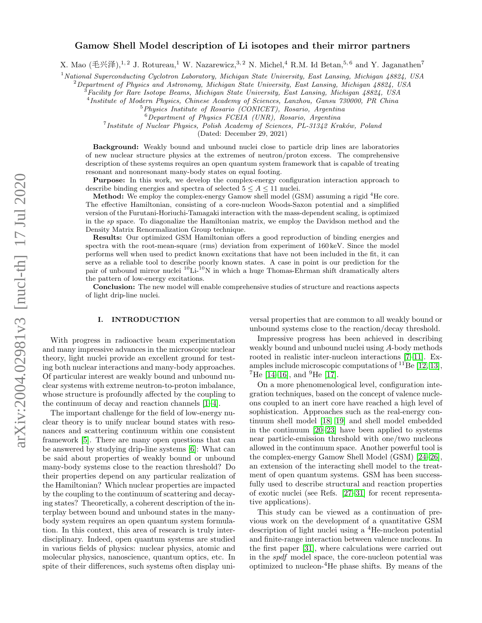# Gamow Shell Model description of Li isotopes and their mirror partners

X. Mao (毛兴泽),<sup>1,2</sup> J. Rotureau,<sup>1</sup> W. Nazarewicz,<sup>3,2</sup> N. Michel,<sup>4</sup> R.M. Id Betan,<sup>5,6</sup> and Y. Jaganathen<sup>7</sup>

<sup>1</sup> National Superconducting Cyclotron Laboratory, Michigan State University, East Lansing, Michigan 48824, USA

 $2$ Department of Physics and Astronomy, Michigan State University, East Lansing, Michigan  $48824$ , USA

 $^3$ Facility for Rare Isotope Beams, Michigan State University, East Lansing, Michigan 48824, USA

4 Institute of Modern Physics, Chinese Academy of Sciences, Lanzhou, Gansu 730000, PR China

- <sup>5</sup>Physics Institute of Rosario (CONICET), Rosario, Argentina
	- <sup>6</sup>Department of Physics FCEIA (UNR), Rosario, Argentina

<sup>7</sup> Institute of Nuclear Physics, Polish Academy of Sciences, PL-31342 Kraków, Poland

(Dated: December 29, 2021)

Background: Weakly bound and unbound nuclei close to particle drip lines are laboratories of new nuclear structure physics at the extremes of neutron/proton excess. The comprehensive description of these systems requires an open quantum system framework that is capable of treating resonant and nonresonant many-body states on equal footing.

Purpose: In this work, we develop the complex-energy configuration interaction approach to describe binding energies and spectra of selected  $5 \leq A \leq 11$  nuclei.

**Method:** We employ the complex-energy Gamow shell model (GSM) assuming a rigid  ${}^{4}$ He core. The effective Hamiltonian, consisting of a core-nucleon Woods-Saxon potential and a simplified version of the Furutani-Horiuchi-Tamagaki interaction with the mass-dependent scaling, is optimized in the sp space. To diagonalize the Hamiltonian matrix, we employ the Davidson method and the Density Matrix Renormalization Group technique.

Results: Our optimized GSM Hamiltonian offers a good reproduction of binding energies and spectra with the root-mean-square (rms) deviation from experiment of 160 keV. Since the model performs well when used to predict known excitations that have not been included in the fit, it can serve as a reliable tool to describe poorly known states. A case in point is our prediction for the pair of unbound mirror nuclei  ${}^{10}$ Li- ${}^{10}$ N in which a huge Thomas-Ehrman shift dramatically alters the pattern of low-energy excitations.

Conclusion: The new model will enable comprehensive studies of structure and reactions aspects of light drip-line nuclei.

## I. INTRODUCTION

With progress in radioactive beam experimentation and many impressive advances in the microscopic nuclear theory, light nuclei provide an excellent ground for testing both nuclear interactions and many-body approaches. Of particular interest are weakly bound and unbound nuclear systems with extreme neutron-to-proton imbalance, whose structure is profoundly affected by the coupling to the continuum of decay and reaction channels [\[1–](#page-7-0)[4\]](#page-7-1).

The important challenge for the field of low-energy nuclear theory is to unify nuclear bound states with resonances and scattering continuum within one consistent framework [\[5\]](#page-7-2). There are many open questions that can be answered by studying drip-line systems [\[6\]](#page-7-3): What can be said about properties of weakly bound or unbound many-body systems close to the reaction threshold? Do their properties depend on any particular realization of the Hamiltonian? Which nuclear properties are impacted by the coupling to the continuum of scattering and decaying states? Theoretically, a coherent description of the interplay between bound and unbound states in the manybody system requires an open quantum system formulation. In this context, this area of research is truly interdisciplinary. Indeed, open quantum systems are studied in various fields of physics: nuclear physics, atomic and molecular physics, nanoscience, quantum optics, etc. In spite of their differences, such systems often display universal properties that are common to all weakly bound or unbound systems close to the reaction/decay threshold.

Impressive progress has been achieved in describing weakly bound and unbound nuclei using A-body methods rooted in realistic inter-nucleon interactions [\[7–](#page-7-4)[11\]](#page-7-5). Examples include microscopic computations of  ${}^{11}$ Be [\[12,](#page-7-6) [13\]](#page-8-0),  ${}^{7}$ He [\[14](#page-8-1)[–16\]](#page-8-2), and  ${}^{9}$ He [\[17\]](#page-8-3).

On a more phenomenological level, configuration integration techniques, based on the concept of valence nucleons coupled to an inert core have reached a high level of sophistication. Approaches such as the real-energy continuum shell model [\[18,](#page-8-4) [19\]](#page-8-5) and shell model embedded in the continuum [\[20–](#page-8-6)[23\]](#page-8-7) have been applied to systems near particle-emission threshold with one/two nucleons allowed in the continuum space. Another powerful tool is the complex-energy Gamow Shell Model (GSM) [\[24–](#page-8-8)[26\]](#page-8-9), an extension of the interacting shell model to the treatment of open quantum systems. GSM has been successfully used to describe structural and reaction properties of exotic nuclei (see Refs. [\[27–](#page-8-10)[31\]](#page-8-11) for recent representative applications).

This study can be viewed as a continuation of previous work on the development of a quantitative GSM description of light nuclei using a <sup>4</sup>He-nucleon potential and finite-range interaction between valence nucleons. In the first paper [\[31\]](#page-8-11), where calculations were carried out in the spdf model space, the core-nucleon potential was optimized to nucleon-<sup>4</sup>He phase shifts. By means of the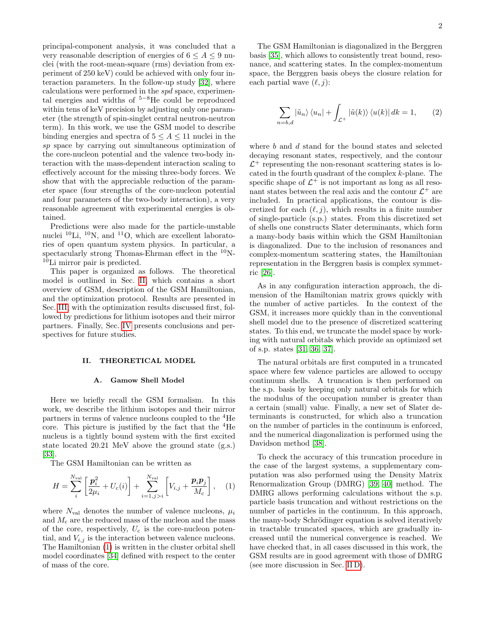principal-component analysis, it was concluded that a very reasonable description of energies of  $6 \leq A \leq 9$  nuclei (with the root-mean-square (rms) deviation from experiment of 250 keV) could be achieved with only four interaction parameters. In the follow-up study [\[32\]](#page-8-12), where calculations were performed in the spd space, experimental energies and widths of  $5-8$ He could be reproduced within tens of keV precision by adjusting only one parameter (the strength of spin-singlet central neutron-neutron term). In this work, we use the GSM model to describe binding energies and spectra of  $5 \leq A \leq 11$  nuclei in the sp space by carrying out simultaneous optimization of the core-nucleon potential and the valence two-body interaction with the mass-dependent interaction scaling to effectively account for the missing three-body forces. We show that with the appreciable reduction of the parameter space (four strengths of the core-nucleon potential and four parameters of the two-body interaction), a very reasonable agreement with experimental energies is obtained.

Predictions were also made for the particle-unstable nuclei  $^{10}$ Li,  $^{10}$ N, and  $^{11}$ O, which are excellent laboratories of open quantum system physics. In particular, a spectacularly strong Thomas-Ehrman effect in the  $^{10}$ N-<sup>10</sup>Li mirror pair is predicted.

This paper is organized as follows. The theoretical model is outlined in Sec. [II,](#page-1-0) which contains a short overview of GSM, description of the GSM Hamiltonian, and the optimization protocol. Results are presented in Sec. [III,](#page-4-0) with the optimization results discussed first, followed by predictions for lithium isotopes and their mirror partners. Finally, Sec. [IV](#page-7-7) presents conclusions and perspectives for future studies.

#### <span id="page-1-0"></span>II. THEORETICAL MODEL

## A. Gamow Shell Model

Here we briefly recall the GSM formalism. In this work, we describe the lithium isotopes and their mirror partners in terms of valence nucleons coupled to the <sup>4</sup>He core. This picture is justified by the fact that the  ${}^{4}$ He nucleus is a tightly bound system with the first excited state located 20.21 MeV above the ground state (g.s.) [\[33\]](#page-8-13).

The GSM Hamiltonian can be written as

<span id="page-1-1"></span>
$$
H = \sum_{i}^{N_{\text{val}}} \left[ \frac{\mathbf{p}_{i}^{2}}{2\mu_{i}} + U_{\text{c}}(i) \right] + \sum_{i=1, j>i}^{N_{\text{val}}} \left[ V_{i,j} + \frac{\mathbf{p}_{i} \mathbf{p}_{j}}{M_{\text{c}}} \right], \quad (1)
$$

where  $N_{\text{val}}$  denotes the number of valence nucleons,  $\mu_i$ and  $M_c$  are the reduced mass of the nucleon and the mass of the core, respectively,  $U_c$  is the core-nucleon potential, and  $V_{i,j}$  is the interaction between valence nucleons. The Hamiltonian [\(1\)](#page-1-1) is written in the cluster orbital shell model coordinates [\[34\]](#page-8-14) defined with respect to the center of mass of the core.

The GSM Hamiltonian is diagonalized in the Berggren basis [\[35\]](#page-8-15), which allows to consistently treat bound, resonance, and scattering states. In the complex-momentum space, the Berggren basis obeys the closure relation for each partial wave  $(\ell, j)$ :

$$
\sum_{n=b,d} |\tilde{u}_n\rangle \langle u_n| + \int_{\mathcal{L}^+} |\tilde{u}(k)\rangle \langle u(k)| dk = 1, \qquad (2)
$$

where  $b$  and  $d$  stand for the bound states and selected decaying resonant states, respectively, and the contour  $\mathcal{L}^+$  representing the non-resonant scattering states is located in the fourth quadrant of the complex k-plane. The specific shape of  $\mathcal{L}^+$  is not important as long as all resonant states between the real axis and the contour  $\mathcal{L}^+$  are included. In practical applications, the contour is discretized for each  $(\ell, j)$ , which results in a finite number of single-particle (s.p.) states. From this discretized set of shells one constructs Slater determinants, which form a many-body basis within which the GSM Hamiltonian is diagonalized. Due to the inclusion of resonances and complex-momentum scattering states, the Hamiltonian representation in the Berggren basis is complex symmetric [\[26\]](#page-8-9).

As in any configuration interaction approach, the dimension of the Hamiltonian matrix grows quickly with the number of active particles. In the context of the GSM, it increases more quickly than in the conventional shell model due to the presence of discretized scattering states. To this end, we truncate the model space by working with natural orbitals which provide an optimized set of s.p. states [\[31,](#page-8-11) [36,](#page-8-16) [37\]](#page-8-17).

The natural orbitals are first computed in a truncated space where few valence particles are allowed to occupy continuum shells. A truncation is then performed on the s.p. basis by keeping only natural orbitals for which the modulus of the occupation number is greater than a certain (small) value. Finally, a new set of Slater determinants is constructed, for which also a truncation on the number of particles in the continuum is enforced, and the numerical diagonalization is performed using the Davidson method [\[38\]](#page-8-18).

To check the accuracy of this truncation procedure in the case of the largest systems, a supplementary computation was also performed using the Density Matrix Renormalization Group (DMRG) [\[39,](#page-8-19) [40\]](#page-8-20) method. The DMRG allows performing calculations without the s.p. particle basis truncation and without restrictions on the number of particles in the continuum. In this approach, the many-body Schrödinger equation is solved iteratively in tractable truncated spaces, which are gradually increased until the numerical convergence is reached. We have checked that, in all cases discussed in this work, the GSM results are in good agreement with those of DMRG (see more discussion in Sec. [II D\)](#page-3-0).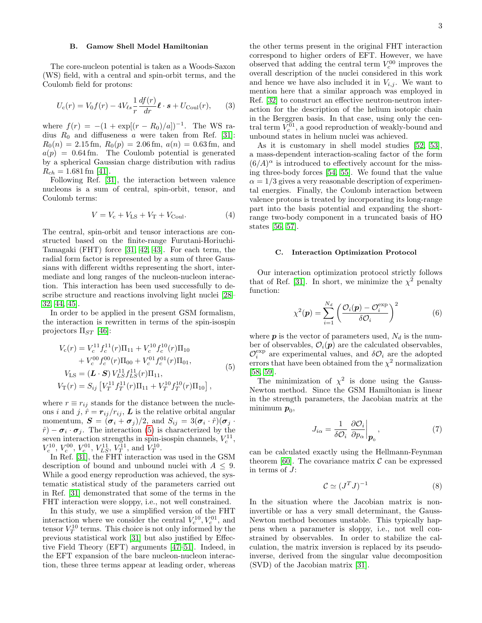## B. Gamow Shell Model Hamiltonian

The core-nucleon potential is taken as a Woods-Saxon (WS) field, with a central and spin-orbit terms, and the Coulomb field for protons:

$$
U_{\rm c}(r) = V_0 f(r) - 4V_{\ell s} \frac{1}{r} \frac{df(r)}{dr} \ell \cdot s + U_{\rm Coul}(r), \qquad (3)
$$

where  $f(r) = -(1 + \exp[(r - R_0)/a])^{-1}$ . The WS radius  $R_0$  and diffuseness a were taken from Ref. [\[31\]](#page-8-11):  $R_0(n) = 2.15$  fm,  $R_0(p) = 2.06$  fm,  $a(n) = 0.63$  fm, and  $a(p) = 0.64$  fm. The Coulomb potential is generated by a spherical Gaussian charge distribution with radius  $R_{ch} = 1.681$  fm [\[41\]](#page-8-21).

Following Ref. [\[31\]](#page-8-11), the interaction between valence nucleons is a sum of central, spin-orbit, tensor, and Coulomb terms:

$$
V = Vc + VLS + VT + VCoul.
$$
 (4)

The central, spin-orbit and tensor interactions are constructed based on the finite-range Furutani-Horiuchi-Tamagaki (FHT) force [\[31,](#page-8-11) [42,](#page-8-22) [43\]](#page-8-23). For each term, the radial form factor is represented by a sum of three Gaussians with different widths representing the short, intermediate and long ranges of the nucleon-nucleon interaction. This interaction has been used successfully to describe structure and reactions involving light nuclei [\[28–](#page-8-24) [32,](#page-8-12) [44,](#page-8-25) [45\]](#page-8-26).

In order to be applied in the present GSM formalism, the interaction is rewritten in terms of the spin-isospin projectors  $\Pi_{ST}$  [\[46\]](#page-8-27):

<span id="page-2-0"></span>
$$
V_c(r) = V_c^{11} f_c^{11}(r) \Pi_{11} + V_c^{10} f_c^{10}(r) \Pi_{10}
$$
  
+  $V_c^{00} f_c^{00}(r) \Pi_{00} + V_c^{01} f_c^{01}(r) \Pi_{01},$   

$$
V_{LS} = (\mathbf{L} \cdot \mathbf{S}) V_{LS}^{11} f_{LS}^{11}(r) \Pi_{11},
$$
  

$$
V_T(r) = S_{ij} [V_T^{11} f_T^{11}(r) \Pi_{11} + V_T^{10} f_T^{10}(r) \Pi_{10}],
$$
 (5)

where  $r \equiv r_{ij}$  stands for the distance between the nucleons i and j,  $\hat{r} = r_{ij}/r_{ij}$ , L is the relative orbital angular momentum,  $\mathbf{S} = (\boldsymbol{\sigma}_i + \boldsymbol{\sigma}_j)/2$ , and  $S_{ij} = 3(\boldsymbol{\sigma}_i \cdot \hat{r})(\boldsymbol{\sigma}_j \cdot \hat{r})$  $\hat{r}$ ) –  $\sigma_i \cdot \sigma_j$ . The interaction [\(5\)](#page-2-0) is characterized by the seven interaction strengths in spin-isospin channels,  $V_c^{11}$ ,  $V_c^{10}$ ,  $V_c^{00}$ ,  $V_c^{01}$ ,  $V_{LS}^{11}$ ,  $V_T^{11}$ , and  $V_T^{10}$ .

In Ref. [\[31\]](#page-8-11), the FHT interaction was used in the GSM description of bound and unbound nuclei with  $A \leq 9$ . While a good energy reproduction was achieved, the systematic statistical study of the parameters carried out in Ref. [\[31\]](#page-8-11) demonstrated that some of the terms in the FHT interaction were sloppy, i.e., not well constrained.

In this study, we use a simplified version of the FHT interaction where we consider the central  $V_c^{10}, V_c^{01}$ , and tensor  $V_T^{10}$  terms. This choice is not only informed by the previous statistical work [\[31\]](#page-8-11) but also justified by Effective Field Theory (EFT) arguments [\[47–](#page-8-28)[51\]](#page-8-29). Indeed, in the EFT expansion of the bare nucleon-nucleon interaction, these three terms appear at leading order, whereas

the other terms present in the original FHT interaction correspond to higher orders of EFT. However, we have observed that adding the central term  $V_c^{00}$  improves the overall description of the nuclei considered in this work and hence we have also included it in  $V_{i,j}$ . We want to mention here that a similar approach was employed in Ref. [\[32\]](#page-8-12) to construct an effective neutron-neutron interaction for the description of the helium isotopic chain in the Berggren basis. In that case, using only the central term  $V_c^{01}$ , a good reproduction of weakly-bound and unbound states in helium nuclei was achieved.

As it is customary in shell model studies [\[52,](#page-9-0) [53\]](#page-9-1), a mass-dependent interaction-scaling factor of the form  $(6/A)^{\alpha}$  is introduced to effectively account for the missing three-body forces [\[54,](#page-9-2) [55\]](#page-9-3). We found that the value  $\alpha = 1/3$  gives a very reasonable description of experimental energies. Finally, the Coulomb interaction between valence protons is treated by incorporating its long-range part into the basis potential and expanding the shortrange two-body component in a truncated basis of HO states [\[56,](#page-9-4) [57\]](#page-9-5).

### C. Interaction Optimization Protocol

Our interaction optimization protocol strictly follows that of Ref. [\[31\]](#page-8-11). In short, we minimize the  $\chi^2$  penalty function:

$$
\chi^2(\mathbf{p}) = \sum_{i=1}^{N_d} \left( \frac{\mathcal{O}_i(\mathbf{p}) - \mathcal{O}_i^{\exp}}{\delta \mathcal{O}_i} \right)^2 \tag{6}
$$

where  $p$  is the vector of parameters used,  $N_d$  is the number of observables,  $\mathcal{O}_i(\mathbf{p})$  are the calculated observables,  $\mathcal{O}_i^{\text{exp}}$  are experimental values, and  $\delta\mathcal{O}_i$  are the adopted errors that have been obtained from the  $\chi^2$  normalization [\[58,](#page-9-6) [59\]](#page-9-7).

The minimization of  $\chi^2$  is done using the Gauss-Newton method. Since the GSM Hamiltonian is linear in the strength parameters, the Jacobian matrix at the  $\min\limits_{\boldsymbol{p}_0,\,}$ 

$$
J_{i\alpha} = \frac{1}{\delta \mathcal{O}_i} \left. \frac{\partial \mathcal{O}_i}{\partial p_{\alpha}} \right|_{\mathbf{p}_0},\tag{7}
$$

can be calculated exactly using the Hellmann-Feynman theorem [\[60\]](#page-9-8). The covariance matrix  $\mathcal C$  can be expressed in terms of J:

$$
\mathcal{C} \simeq (J^T J)^{-1} \tag{8}
$$

In the situation where the Jacobian matrix is noninvertible or has a very small determinant, the Gauss-Newton method becomes unstable. This typically happens when a parameter is sloppy, i.e., not well constrained by observables. In order to stabilize the calculation, the matrix inversion is replaced by its pseudoinverse, derived from the singular value decomposition (SVD) of the Jacobian matrix [\[31\]](#page-8-11).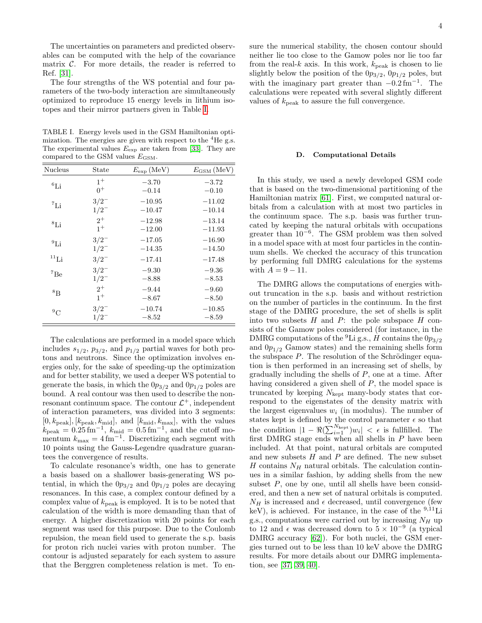The uncertainties on parameters and predicted observables can be computed with the help of the covariance matrix  $\mathcal{C}$ . For more details, the reader is referred to Ref. [\[31\]](#page-8-11).

The four strengths of the WS potential and four parameters of the two-body interaction are simultaneously optimized to reproduce 15 energy levels in lithium isotopes and their mirror partners given in Table [I.](#page-3-1)

<span id="page-3-1"></span>TABLE I. Energy levels used in the GSM Hamiltonian optimization. The energies are given with respect to the  ${}^{4}$ He g.s. The experimental values  $E_{\text{exp}}$  are taken from [\[33\]](#page-8-13). They are compared to the GSM values  $E_{\text{GSM}}$ .

| Nucleus         | State     | $E_{\exp}$ (MeV) | $E_{\text{GSM}}\left(\text{MeV}\right)$ |
|-----------------|-----------|------------------|-----------------------------------------|
| ${}^{6}$ Li     | $1^{+}$   | $-3.70$          | $-3.72$                                 |
|                 | $0^+$     | $-0.14$          | $-0.10$                                 |
| ${}^7\text{Li}$ | $3/2^{-}$ | $-10.95$         | $-11.02$                                |
|                 | $1/2^{-}$ | $-10.47$         | $-10.14$                                |
| ${}^{8}$ Li     | $2^{+}$   | $-12.98$         | $-13.14$                                |
|                 | $1^+$     | $-12.00$         | $-11.93$                                |
| $^{9}$ Li       | $3/2^{-}$ | $-17.05$         | $-16.90$                                |
|                 | $1/2^{-}$ | $-14.35$         | $-14.50$                                |
| $^{11}$ Li      | $3/2^{-}$ | $-17.41$         | $-17.48$                                |
| ${}^{7}Be$      | $3/2^{-}$ | $-9.30$          | $-9.36$                                 |
|                 | $1/2^{-}$ | $-8.88$          | $-8.53$                                 |
| ${}^{8}R$       | $2^{+}$   | $-9.44$          | $-9.60$                                 |
|                 | $1^{+}$   | $-8.67$          | $-8.50$                                 |
| $^{9}C$         | $3/2^{-}$ | $-10.74$         | $-10.85$                                |
|                 | $1/2^{-}$ | $-8.52$          | $-8.59$                                 |

The calculations are performed in a model space which includes  $s_{1/2}$ ,  $p_{3/2}$ , and  $p_{1/2}$  partial waves for both protons and neutrons. Since the optimization involves energies only, for the sake of speeding-up the optimization and for better stability, we used a deeper WS potential to generate the basis, in which the  $0p_{3/2}$  and  $0p_{1/2}$  poles are bound. A real contour was then used to describe the nonresonant continuum space. The contour  $\mathcal{L}^+$ , independent of interaction parameters, was divided into 3 segments:  $[0, k_{\text{peak}}], [k_{\text{peak}}, k_{\text{mid}}],$  and  $[k_{\text{mid}}, k_{\text{max}}],$  with the values  $k_{\text{peak}} = 0.25 \,\text{fm}^{-1}, k_{\text{mid}} = 0.5 \,\text{fm}^{-1}, \text{ and the cutoff m}$ mentum  $k_{\text{max}} = 4 \text{ fm}^{-1}$ . Discretizing each segment with 10 points using the Gauss-Legendre quadrature guarantees the convergence of results.

To calculate resonance's width, one has to generate a basis based on a shallower basis-generating WS potential, in which the  $0p_{3/2}$  and  $0p_{1/2}$  poles are decaying resonances. In this case, a complex contour defined by a complex value of  $k_{\text{peak}}$  is employed. It is to be noted that calculation of the width is more demanding than that of energy. A higher discretization with 20 points for each segment was used for this purpose. Due to the Coulomb repulsion, the mean field used to generate the s.p. basis for proton rich nuclei varies with proton number. The contour is adjusted separately for each system to assure that the Berggren completeness relation is met. To ensure the numerical stability, the chosen contour should neither lie too close to the Gamow poles nor lie too far from the real-k axis. In this work,  $k_{\text{peak}}$  is chosen to lie slightly below the position of the  $0p_{3/2}$ ,  $0p_{1/2}$  poles, but with the imaginary part greater than  $-0.2 \text{ fm}^{-1}$ . The calculations were repeated with several slightly different values of  $k_{\text{peak}}$  to assure the full convergence.

### <span id="page-3-0"></span>D. Computational Details

In this study, we used a newly developed GSM code that is based on the two-dimensional partitioning of the Hamiltonian matrix [\[61\]](#page-9-9). First, we computed natural orbitals from a calculation with at most two particles in the continuum space. The s.p. basis was further truncated by keeping the natural orbitals with occupations greater than  $10^{-6}$ . The GSM problem was then solved in a model space with at most four particles in the continuum shells. We checked the accuracy of this truncation by performing full DMRG calculations for the systems with  $A = 9 - 11$ .

The DMRG allows the computations of energies without truncation in the s.p. basis and without restriction on the number of particles in the continuum. In the first stage of the DMRG procedure, the set of shells is split into two subsets  $H$  and  $P$ : the pole subspace  $H$  consists of the Gamow poles considered (for instance, in the DMRG computations of the <sup>9</sup>Li g.s., H contains the  $0p_{3/2}$ and  $0p_{1/2}$  Gamow states) and the remaining shells form the subspace  $P$ . The resolution of the Schrödinger equation is then performed in an increasing set of shells, by gradually including the shells of  $P$ , one at a time. After having considered a given shell of P, the model space is truncated by keeping  $N_{\text{kept}}$  many-body states that correspond to the eigenstates of the density matrix with the largest eigenvalues  $w_i$  (in modulus). The number of states kept is defined by the control parameter  $\epsilon$  so that the condition  $|1 - \Re(\sum_{i=1}^{N_{\text{kept}}})w_i| < \epsilon$  is fullfilled. The first DMRG stage ends when all shells in P have been included. At that point, natural orbitals are computed and new subsets  $H$  and  $P$  are defined. The new subset  $H$  contains  $N_H$  natural orbitals. The calculation continues in a similar fashion, by adding shells from the new subset  $P$ , one by one, until all shells have been considered, and then a new set of natural orbitals is computed.  $N_H$  is increased and  $\epsilon$  decreased, until convergence (few keV), is achieved. For instance, in the case of the  $9,11$ Li g.s., computations were carried out by increasing  $N_H$  up to 12 and  $\epsilon$  was decreased down to  $5 \times 10^{-9}$  (a typical DMRG accuracy [\[62\]](#page-9-10)). For both nuclei, the GSM energies turned out to be less than 10 keV above the DMRG results. For more details about our DMRG implementation, see [\[37,](#page-8-17) [39,](#page-8-19) [40\]](#page-8-20).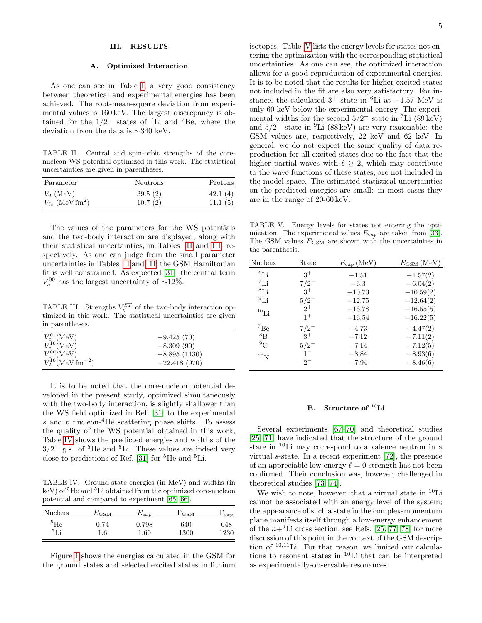## <span id="page-4-0"></span>III. RESULTS

### A. Optimized Interaction

As one can see in Table [I,](#page-3-1) a very good consistency between theoretical and experimental energies has been achieved. The root-mean-square deviation from experimental values is 160 keV. The largest discrepancy is obtained for the  $1/2^-$  states of <sup>7</sup>Li and <sup>7</sup>Be, where the deviation from the data is ∼340 keV.

<span id="page-4-1"></span>TABLE II. Central and spin-orbit strengths of the corenucleon WS potential optimized in this work. The statistical uncertainties are given in parentheses.

| Parameter                           | Neutrons | Protons |
|-------------------------------------|----------|---------|
| $V_0$ (MeV)                         | 39.5(2)  | 42.1(4) |
| $V_{\ell s}$ (MeV fm <sup>2</sup> ) | 10.7(2)  | 11.1(5) |

The values of the parameters for the WS potentials and the two-body interaction are displayed, along with their statistical uncertainties, in Tables [II](#page-4-1) and [III,](#page-4-2) respectively. As one can judge from the small parameter uncertainties in Tables [II](#page-4-1) and [III,](#page-4-2) the GSM Hamiltonian fit is well constrained. As expected [\[31\]](#page-8-11), the central term  $V_c^{00}$  has the largest uncertainty of ~12%.

<span id="page-4-2"></span>TABLE III. Strengths  $V_{\eta}^{ST}$  of the two-body interaction optimized in this work. The statistical uncertainties are given in parentheses.

| $V_c^{01}$ (MeV)                   | $-9.425(70)$   |
|------------------------------------|----------------|
| $V_c^{10}$ (MeV)                   | $-8.309(90)$   |
| $V_c^{00}$ (MeV)                   | $-8.895(1130)$ |
| $V_T^{10}$ (MeV fm <sup>-2</sup> ) | $-22.418(970)$ |

It is to be noted that the core-nucleon potential developed in the present study, optimized simultaneously with the two-body interaction, is slightly shallower than the WS field optimized in Ref. [\[31\]](#page-8-11) to the experimental s and  $p$  nucleon-<sup>4</sup>He scattering phase shifts. To assess the quality of the WS potential obtained in this work, Table [IV](#page-4-3) shows the predicted energies and widths of the  $3/2^-$  g.s. of <sup>5</sup>He and <sup>5</sup>Li. These values are indeed very close to predictions of Ref. [\[31\]](#page-8-11) for  ${}^{5}$ He and  ${}^{5}$ Li.

<span id="page-4-3"></span>TABLE IV. Ground-state energies (in MeV) and widths (in  $keV$ ) of  ${}^{5}$ He and  ${}^{5}$ Li obtained from the optimized core-nucleon potential and compared to experiment [\[65,](#page-9-11) [66\]](#page-9-12).

| Nucleus  | $E_{\rm GSM}$ | $E_{exp}$ | GSM  | exp  |
|----------|---------------|-----------|------|------|
| $^5$ He  | 0.74          | 0.798     | 640  | 648  |
| $5\,$ r: | 1.6           | $1.69\,$  | 1300 | 1230 |

Figure [1](#page-5-0) shows the energies calculated in the GSM for the ground states and selected excited states in lithium isotopes. Table [V](#page-4-4) lists the energy levels for states not entering the optimization with the corresponding statistical uncertainties. As one can see, the optimized interaction allows for a good reproduction of experimental energies. It is to be noted that the results for higher-excited states not included in the fit are also very satisfactory. For instance, the calculated  $3^+$  state in <sup>6</sup>Li at  $-1.57$  MeV is only 60 keV below the experimental energy. The experimental widths for the second  $5/2^-$  state in <sup>7</sup>Li (89 keV) and 5/2 <sup>−</sup> state in <sup>9</sup>Li (88 keV) are very reasonable: the GSM values are, respectively, 22 keV and 62 keV. In general, we do not expect the same quality of data reproduction for all excited states due to the fact that the higher partial waves with  $\ell \geq 2$ , which may contribute to the wave functions of these states, are not included in the model space. The estimated statistical uncertainties on the predicted energies are small: in most cases they are in the range of 20-60 keV.

<span id="page-4-4"></span>TABLE V. Energy levels for states not entering the optimization. The experimental values  $E_{\text{exp}}$  are taken from [\[33\]](#page-8-13). The GSM values  $E_{\text{GSM}}$  are shown with the uncertainties in the parenthesis.

| <b>Nucleus</b> | State            | $E_{\exp}$ (MeV) | $E_{\text{GSM}}\left(\text{MeV}\right)$ |  |
|----------------|------------------|------------------|-----------------------------------------|--|
| $^{6}$ Li      | $3^+$<br>$-1.51$ |                  | $-1.57(2)$                              |  |
| ${}^7$ Li      | $7/2^{-}$        | $-6.3$           | $-6.04(2)$                              |  |
| ${}^{8}$ Li    | $3^+$            | $-10.73$         | $-10.59(2)$                             |  |
| $^{9}$ Li      | $5/2^{-}$        | $-12.75$         | $-12.64(2)$                             |  |
| $^{10}$ Li     | $2^+$            | $-16.78$         | $-16.55(5)$                             |  |
|                | $1^{+}$          | $-16.54$         | $-16.22(5)$                             |  |
| ${}^{7}$ Be    | $7/2^{-}$        | $-4.73$          | $-4.47(2)$                              |  |
| ${}^{8}B$      | $3^+$            | $-7.12$          | $-7.11(2)$                              |  |
| $^{9}C$        | $5/2^{-}$        | $-7.14$          | $-7.12(5)$                              |  |
| $^{10}N$       | $1 -$            | $-8.84$          | $-8.93(6)$                              |  |
|                | $2^{-}$          | $-7.94$          | $-8.46(6)$                              |  |
|                |                  |                  |                                         |  |

# B. Structure of <sup>10</sup>Li

Several experiments [\[67–](#page-9-13)[70\]](#page-9-14) and theoretical studies [\[25,](#page-8-30) [71\]](#page-9-15) have indicated that the structure of the ground state in <sup>10</sup>Li may correspond to a valence neutron in a virtual s-state. In a recent experiment [\[72\]](#page-9-16), the presence of an appreciable low-energy  $\ell = 0$  strength has not been confirmed. Their conclusion was, however, challenged in theoretical studies [\[73,](#page-9-17) [74\]](#page-9-18).

We wish to note, however, that a virtual state in  $^{10}$ Li cannot be associated with an energy level of the system; the appearance of such a state in the complex-momentum plane manifests itself through a low-energy enhancement of the  $n+9$ Li cross section, see Refs. [\[25,](#page-8-30) [77,](#page-9-19) [78\]](#page-9-20) for more discussion of this point in the context of the GSM description of <sup>10</sup>,<sup>11</sup>Li. For that reason, we limited our calculations to resonant states in <sup>10</sup>Li that can be interpreted as experimentally-observable resonances.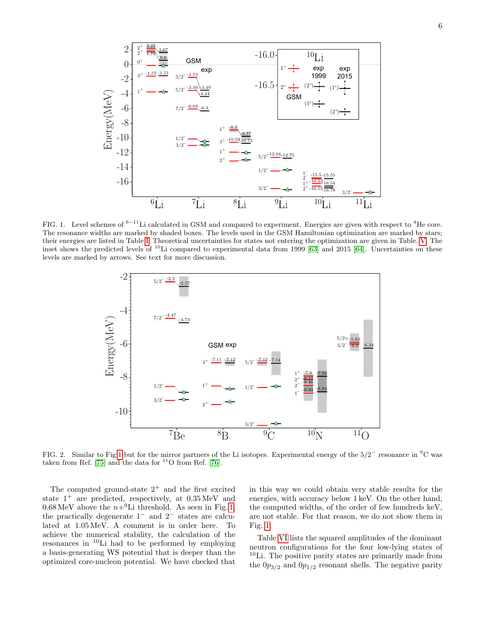

<span id="page-5-0"></span>FIG. 1. Level schemes of  $6-11$ Li calculated in GSM and compared to experiment. Energies are given with respect to  $4$ He core. The resonance widths are marked by shaded boxes. The levels used in the GSM Hamiltonian optimization are marked by stars; their energies are listed in Table [I.](#page-3-1) Theoretical uncertainties for states not entering the optimization are given in Table. [V.](#page-4-4) The inset shows the predicted levels of <sup>10</sup>Li compared to experimental data from 1999 [\[63\]](#page-9-21) and 2015 [\[64\]](#page-9-22). Uncertainties on these levels are marked by arrows. See text for more discussion.



<span id="page-5-1"></span>FIG. 2. Similar to Fig[.1](#page-5-0) but for the mirror partners of the Li isotopes. Experimental energy of the  $5/2^-$  resonance in <sup>9</sup>C was taken from Ref. [\[75\]](#page-9-23) and the data for  $^{11}$ O from Ref. [\[76\]](#page-9-24).

The computed ground-state  $2^+$  and the first excited state  $1^+$  are predicted, respectively, at  $0.35 \,\text{MeV}$  and  $0.68 \text{ MeV}$  above the  $n+{}^{9}\text{Li}$  threshold. As seen in Fig. [1,](#page-5-0) the practically degenerate 1<sup>−</sup> and 2<sup>−</sup> states are calculated at 1.05 MeV. A comment is in order here. To achieve the numerical stability, the calculation of the resonances in <sup>10</sup>Li had to be performed by employing a basis-generating WS potential that is deeper than the optimized core-nucleon potential. We have checked that

in this way we could obtain very stable results for the energies, with accuracy below 1 keV. On the other hand, the computed widths, of the order of few hundreds keV, are not stable. For that reason, we do not show them in Fig. [1.](#page-5-0)

Table [VI](#page-6-0) lists the squared amplitudes of the dominant neutron configurations for the four low-lying states of <sup>10</sup>Li. The positive parity states are primarily made from the  $0p_{3/2}$  and  $0p_{1/2}$  resonant shells. The negative parity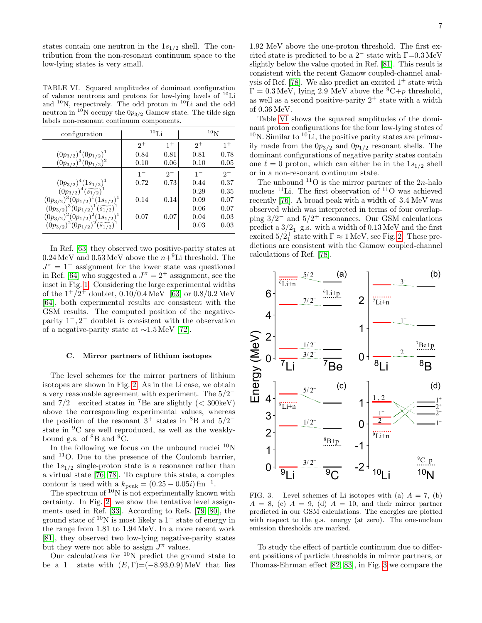states contain one neutron in the  $1s_{1/2}$  shell. The contribution from the non-resonant continuum space to the low-lying states is very small.

<span id="page-6-0"></span>TABLE VI. Squared amplitudes of dominant configuration of valence neutrons and protons for low-lying levels of <sup>10</sup>Li and  $10$ N, respectively. The odd proton in  $10$ Li and the odd neutron in <sup>10</sup>N occupy the  $0p_{3/2}$  Gamow state. The tilde sign labels non-resonant continuum components.

| configuration                                     | $^{10}$ Li |         | 10 <sub>N</sub> |         |
|---------------------------------------------------|------------|---------|-----------------|---------|
|                                                   | $2^+$      | $1^{+}$ | $2^+$           | $1^{+}$ |
| $(0p_{3/2})^4(0p_{1/2})^1$                        | 0.84       | 0.81    | 0.81            | 0.78    |
| $(0p_{3/2})^3(0p_{1/2})^2$                        | 0.10       | 0.06    | 0.10            | 0.05    |
|                                                   | $1 -$      | $2^{-}$ | $1 -$           | $2^{-}$ |
| $(0p_{3/2})^4(1s_{1/2})^1$                        | 0.72       | 0.73    | 0.44            | 0.37    |
| $(0p_{3/2})^4(\widetilde{s_{1/2}})^1$             |            |         | 0.29            | 0.35    |
| $(0p_{3/2})^3(0p_{1/2})^1(1s_{1/2})^1$            | 0.14       | 0.14    | 0.09            | 0.07    |
| $(0p_{3/2})^3(0p_{1/2})^1(\widetilde{s_{1/2}})^1$ |            |         | 0.06            | 0.07    |
| $(0p_{3/2})^2(0p_{1/2})^2(1s_{1/2})^1$            | 0.07       | 0.07    | 0.04            | 0.03    |
| $(0p_{3/2})^2(0p_{1/2})^2(\widetilde{s_{1/2}})^1$ |            |         | 0.03            | 0.03    |

In Ref. [\[63\]](#page-9-21) they observed two positive-parity states at  $0.24 \,\mathrm{MeV}$  and  $0.53 \,\mathrm{MeV}$  above the  $n+9$ Li threshold. The  $J^{\pi} = 1^{+}$  assignment for the lower state was questioned in Ref. [\[64\]](#page-9-22) who suggested a  $J^{\pi} = 2^{+}$  assignment, see the inset in Fig. [1.](#page-5-0) Considering the large experimental widths of the  $1^+/2^+$  doublet,  $0.10/0.4 \,\text{MeV}$  [\[63\]](#page-9-21) or  $0.8/0.2 \,\text{MeV}$ [\[64\]](#page-9-22), both experimental results are consistent with the GSM results. The computed position of the negativeparity  $1^-, 2^-$  doublet is consistent with the observation of a negative-parity state at ∼1.5 MeV [\[72\]](#page-9-16).

## C. Mirror partners of lithium isotopes

The level schemes for the mirror partners of lithium isotopes are shown in Fig. [2.](#page-5-1) As in the Li case, we obtain a very reasonable agreement with experiment. The  $5/2^$ and  $7/2^-$  excited states in <sup>7</sup>Be are slightly (< 300keV) above the corresponding experimental values, whereas the position of the resonant  $3^+$  states in  ${}^{8}B$  and  $5/2^$ state in <sup>9</sup>C are well reproduced, as well as the weaklybound g.s. of  ${}^{8}B$  and  ${}^{9}C$ .

In the following we focus on the unbound nuclei  $10<sup>N</sup>$ and  $11$ O. Due to the presence of the Coulomb barrier, the  $1s_{1/2}$  single-proton state is a resonance rather than a virtual state [\[76,](#page-9-24) [78\]](#page-9-20). To capture this state, a complex contour is used with a  $k_{\text{peak}} = (0.25 - 0.05i) \,\text{fm}^{-1}$ .

The spectrum of  $10N$  is not experimentally known with certainty. In Fig. [2,](#page-5-1) we show the tentative level assignments used in Ref. [\[33\]](#page-8-13). According to Refs. [\[79,](#page-9-25) [80\]](#page-9-26), the ground state of <sup>10</sup>N is most likely a 1<sup>−</sup> state of energy in the range from 1.81 to 1.94 MeV. In a more recent work [\[81\]](#page-9-27), they observed two low-lying negative-parity states but they were not able to assign  $J^{\pi}$  values.

Our calculations for  $10N$  predict the ground state to be a  $1^-$  state with  $(E, \Gamma) = (-8.93, 0.9)$  MeV that lies

1.92 MeV above the one-proton threshold. The first excited state is predicted to be a  $2^-$  state with  $\Gamma$ =0.3 MeV slightly below the value quoted in Ref. [\[81\]](#page-9-27). This result is consistent with the recent Gamow coupled-channel anal-ysis of Ref. [\[78\]](#page-9-20). We also predict an excited  $1^+$  state with  $\Gamma = 0.3 \,\text{MeV}$ , lying 2.9 MeV above the <sup>9</sup>C+p threshold, as well as a second positive-parity  $2^+$  state with a width of 0.36 MeV.

Table [VI](#page-6-0) shows the squared amplitudes of the dominant proton configurations for the four low-lying states of  $10$ N. Similar to  $10\text{Li}$ , the positive parity states are primarily made from the  $0p_{3/2}$  and  $0p_{1/2}$  resonant shells. The dominant configurations of negative parity states contain one  $\ell = 0$  proton, which can either be in the  $1s_{1/2}$  shell or in a non-resonant continuum state.

The unbound  $11$ O is the mirror partner of the 2n-halo nucleus <sup>11</sup>Li. The first observation of <sup>11</sup>O was achieved recently [\[76\]](#page-9-24). A broad peak with a width of 3.4 MeV was observed which was interpreted in terms of four overlapping  $3/2^-$  and  $5/2^+$  resonances. Our GSM calculations predict a  $3/2<sub>1</sub><sup>-</sup>$  g.s. with a width of 0.13 MeV and the first excited  $5/2_1^+$  state with  $\Gamma \approx 1 \text{ MeV}$ , see Fig. [2.](#page-5-1) These predictions are consistent with the Gamow coupled-channel calculations of Ref. [\[78\]](#page-9-20).



<span id="page-6-1"></span>FIG. 3. Level schemes of Li isotopes with (a)  $A = 7$ , (b)  $A = 8$ , (c)  $A = 9$ , (d)  $A = 10$ , and their mirror partner predicted in our GSM calculations. The energies are plotted with respect to the g.s. energy (at zero). The one-nucleon emission thresholds are marked.

To study the effect of particle continuum due to different positions of particle thresholds in mirror partners, or Thomas-Ehrman effect [\[82,](#page-10-0) [83\]](#page-10-1), in Fig. [3](#page-6-1) we compare the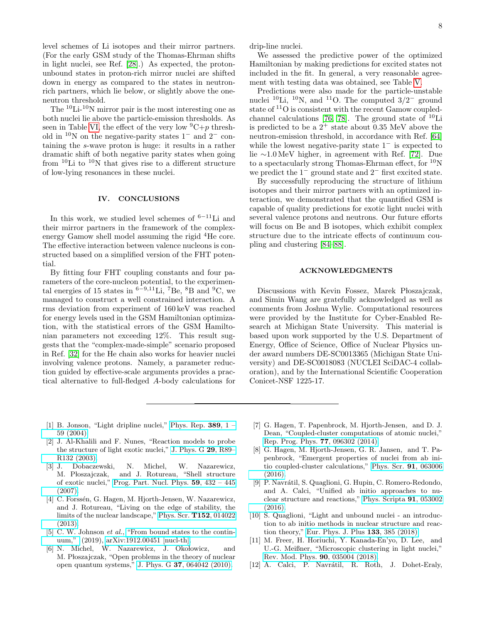level schemes of Li isotopes and their mirror partners. (For the early GSM study of the Thomas-Ehrman shifts in light nuclei, see Ref. [\[28\]](#page-8-24).) As expected, the protonunbound states in proton-rich mirror nuclei are shifted down in energy as compared to the states in neutronrich partners, which lie below, or slightly above the oneneutron threshold.

The <sup>10</sup>Li-10N mirror pair is the most interesting one as both nuclei lie above the particle-emission thresholds. As seen in Table [VI,](#page-6-0) the effect of the very low  ${}^{9}C+p$  threshold in  $10^{\circ}$ N on the negative-parity states  $1^{\circ}$  and  $2^{\circ}$  containing the s-wave proton is huge: it results in a rather dramatic shift of both negative parity states when going from  $^{10}$ Li to  $^{10}$ N that gives rise to a different structure of low-lying resonances in these nuclei.

## <span id="page-7-7"></span>IV. CONCLUSIONS

In this work, we studied level schemes of  $6-11$ Li and their mirror partners in the framework of the complexenergy Gamow shell model assuming the rigid <sup>4</sup>He core. The effective interaction between valence nucleons is constructed based on a simplified version of the FHT potential.

By fitting four FHT coupling constants and four parameters of the core-nucleon potential, to the experimental energies of 15 states in  $6-9,11$ Li,  $7B$ e,  $8B$  and  $9C$ , we managed to construct a well constrained interaction. A rms deviation from experiment of 160 keV was reached for energy levels used in the GSM Hamiltonian optimization, with the statistical errors of the GSM Hamiltonian parameters not exceeding 12%. This result suggests that the "complex-made-simple" scenario proposed in Ref. [\[32\]](#page-8-12) for the He chain also works for heavier nuclei involving valence protons. Namely, a parameter reduction guided by effective-scale arguments provides a practical alternative to full-fledged A-body calculations for

drip-line nuclei.

We assessed the predictive power of the optimized Hamiltonian by making predictions for excited states not included in the fit. In general, a very reasonable agreement with testing data was obtained, see Table [V.](#page-4-4)

Predictions were also made for the particle-unstable nuclei <sup>10</sup>Li, <sup>10</sup>N, and <sup>11</sup>O. The computed  $3/2^-$  ground state of <sup>11</sup>O is consistent with the recent Gamow coupled-channel calculations [\[76,](#page-9-24) [78\]](#page-9-20). The ground state of  $^{10}$ Li is predicted to be a  $2^+$  state about 0.35 MeV above the neutron-emission threshold, in accordance with Ref. [\[64\]](#page-9-22) while the lowest negative-parity state  $1^-$  is expected to lie ∼1.0 MeV higher, in agreement with Ref. [\[72\]](#page-9-16). Due to a spectacularly strong Thomas-Ehrman effect, for <sup>10</sup>N we predict the  $1-$  ground state and  $2-$  first excited state.

By successfully reproducing the structure of lithium isotopes and their mirror partners with an optimized interaction, we demonstrated that the quantified GSM is capable of quality predictions for exotic light nuclei with several valence protons and neutrons. Our future efforts will focus on Be and B isotopes, which exhibit complex structure due to the intricate effects of continuum coupling and clustering [\[84](#page-10-2)[–88\]](#page-10-3).

## ACKNOWLEDGMENTS

Discussions with Kevin Fossez, Marek Płoszajczak, and Simin Wang are gratefully acknowledged as well as comments from Joshua Wylie. Computational resources were provided by the Institute for Cyber-Enabled Research at Michigan State University. This material is based upon work supported by the U.S. Department of Energy, Office of Science, Office of Nuclear Physics under award numbers DE-SC0013365 (Michigan State University) and DE-SC0018083 (NUCLEI SciDAC-4 collaboration), and by the International Scientific Cooperation Conicet-NSF 1225-17.

- <span id="page-7-0"></span>[1] B. Jonson, "Light dripline nuclei," [Phys. Rep.](http://dx.doi.org/10.1016/j.physrep.2003.07.004) 389, 1 – [59 \(2004\).](http://dx.doi.org/10.1016/j.physrep.2003.07.004)
- [2] J. Al-Khalili and F. Nunes, "Reaction models to probe the structure of light exotic nuclei," [J. Phys. G](http://dx.doi.org/ 10.1088/0954-3899/29/11/r01) 29, R89– [R132 \(2003\).](http://dx.doi.org/ 10.1088/0954-3899/29/11/r01)
- [3] J. Dobaczewski, N. Michel, W. Nazarewicz, M. Płoszajczak, and J. Rotureau, "Shell structure of exotic nuclei," [Prog. Part. Nucl. Phys.](http://dx.doi.org/10.1016/j.ppnp.2007.01.022) 59, 432 – 445 [\(2007\).](http://dx.doi.org/10.1016/j.ppnp.2007.01.022)
- <span id="page-7-1"></span>[4] C. Forssén, G. Hagen, M. Hjorth-Jensen, W. Nazarewicz, and J. Rotureau, "Living on the edge of stability, the limits of the nuclear landscape," [Phys. Scr.](http://dx.doi.org/ 10.1088/0031-8949/2013/t152/014022) T152, 014022 [\(2013\).](http://dx.doi.org/ 10.1088/0031-8949/2013/t152/014022)
- <span id="page-7-2"></span>[5] C. W. Johnson et al., ["From bound states to the contin](https://arxiv.org/abs/1912.00451)[uum,"](https://arxiv.org/abs/1912.00451) (2019), [arXiv:1912.00451 \[nucl-th\].](http://arxiv.org/abs/1912.00451)
- <span id="page-7-3"></span>[6] N. Michel, W. Nazarewicz, J. Okołowicz, and M. Płoszajczak, "Open problems in the theory of nuclear open quantum systems," J. Phys. G 37[, 064042 \(2010\).](http://dx.doi.org/ 10.1088/0954-3899/37/6/064042)
- <span id="page-7-4"></span>[7] G. Hagen, T. Papenbrock, M. Hjorth-Jensen, and D. J. Dean, "Coupled-cluster computations of atomic nuclei," [Rep. Prog. Phys.](http://stacks.iop.org/0034-4885/77/i=9/a=096302) 77, 096302 (2014).
- [8] G. Hagen, M. Hjorth-Jensen, G. R. Jansen, and T. Papenbrock, "Emergent properties of nuclei from ab initio coupled-cluster calculations," [Phys. Scr.](http://dx.doi.org/10.1088/0031-8949/91/6/063006) 91, 063006 [\(2016\).](http://dx.doi.org/10.1088/0031-8949/91/6/063006)
- [9] P. Navrátil, S. Quaglioni, G. Hupin, C. Romero-Redondo, and A. Calci, "Unified ab initio approaches to nuclear structure and reactions," [Phys. Scripta](http://stacks.iop.org/1402-4896/91/i=5/a=053002) 91, 053002 [\(2016\).](http://stacks.iop.org/1402-4896/91/i=5/a=053002)
- [10] S. Quaglioni, "Light and unbound nuclei an introduction to ab initio methods in nuclear structure and reaction theory," [Eur. Phys. J. Plus](http://dx.doi.org/10.1140/epjp/i2018-12238-0) 133, 385 (2018).
- <span id="page-7-5"></span>[11] M. Freer, H. Horiuchi, Y. Kanada-En'yo, D. Lee, and U.-G. Meißner, "Microscopic clustering in light nuclei," [Rev. Mod. Phys.](http://dx.doi.org/10.1103/RevModPhys.90.035004) 90, 035004 (2018).
- <span id="page-7-6"></span>[12] A. Calci, P. Navrátil, R. Roth, J. Dohet-Eraly,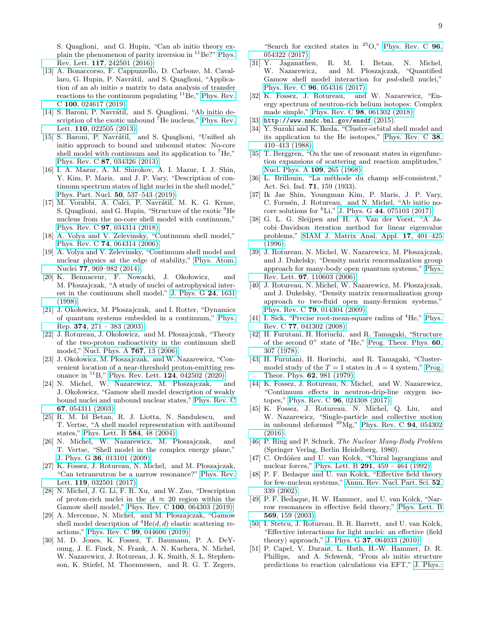S. Quaglioni, and G. Hupin, "Can ab initio theory explain the phenomenon of parity inversion in  ${}^{11}$ Be?" [Phys.](http://dx.doi.org/ 10.1103/PhysRevLett.117.242501) Rev. Lett. 117[, 242501 \(2016\).](http://dx.doi.org/ 10.1103/PhysRevLett.117.242501)

- <span id="page-8-0"></span>[13] A. Bonaccorso, F. Cappuzzello, D. Carbone, M. Cavallaro, G. Hupin, P. Navrátil, and S. Quaglioni, "Application of an ab initio s matrix to data analysis of transfer reactions to the continuum populating  ${}^{11}$ Be," [Phys. Rev.](http://dx.doi.org/10.1103/PhysRevC.100.024617) C 100[, 024617 \(2019\).](http://dx.doi.org/10.1103/PhysRevC.100.024617)
- <span id="page-8-1"></span>[14] S. Baroni, P. Navrátil, and S. Quaglioni, "Ab initio de-scription of the exotic unbound <sup>7</sup>He nucleus," [Phys. Rev.](http://dx.doi.org/ 10.1103/PhysRevLett.110.022505) Lett. 110[, 022505 \(2013\).](http://dx.doi.org/ 10.1103/PhysRevLett.110.022505)
- [15] S. Baroni, P. Navrátil, and S. Quaglioni, "Unified ab initio approach to bound and unbound states: No-core shell model with continuum and its application to  ${}^{7}He$ ," Phys. Rev. C 87[, 034326 \(2013\).](http://dx.doi.org/10.1103/PhysRevC.87.034326)
- <span id="page-8-2"></span>[16] I. A. Mazur, A. M. Shirokov, A. I. Mazur, I. J. Shin, Y. Kim, P. Maris, and J. P. Vary, "Description of continuum spectrum states of light nuclei in the shell model," [Phys. Part. Nucl.](http://dx.doi.org/10.1134/S1063779619050186) 50, 537–543 (2019).
- <span id="page-8-3"></span>[17] M. Vorabbi, A. Calci, P. Navrátil, M. K. G. Kruse, S. Quaglioni, and G. Hupin, "Structure of the exotic <sup>9</sup>He nucleus from the no-core shell model with continuum," Phys. Rev. C 97[, 034314 \(2018\).](http://dx.doi.org/ 10.1103/PhysRevC.97.034314)
- <span id="page-8-4"></span>[18] A. Volya and V. Zelevinsky, "Continuum shell model," Phys. Rev. C 74[, 064314 \(2006\).](http://dx.doi.org/10.1103/PhysRevC.74.064314)
- <span id="page-8-5"></span>[19] A. Volya and V. Zelevinsky, "Continuum shell model and nuclear physics at the edge of stability," [Phys. Atom.](http://dx.doi.org/ 10.1134/S1063778814070163) Nuclei 77[, 969–982 \(2014\).](http://dx.doi.org/ 10.1134/S1063778814070163)
- <span id="page-8-6"></span>[20] K. Bennaceur, F. Nowacki, J. Okołowicz, and M. Płoszajczak, "A study of nuclei of astrophysical interest in the continuum shell model," [J. Phys. G](http://dx.doi.org/ 10.1088/0954-3899/24/8/043) 24, 1631 [\(1998\).](http://dx.doi.org/ 10.1088/0954-3899/24/8/043)
- [21] J. Okołowicz, M. Płoszajczak, and I. Rotter, "Dynamics" of quantum systems embedded in a continuum," [Phys.](http://dx.doi.org/ 10.1016/S0370-1573(02)00366-6) Rep. 374,  $271 - 383$  (2003).
- [22] J. Rotureau, J. Okołowicz, and M. Płoszajczak, "Theory of the two-proton radioactivity in the continuum shell model," [Nucl. Phys. A](http://dx.doi.org/10.1016/j.nuclphysa.2005.12.005) 767, 13 (2006).
- <span id="page-8-7"></span>[23] J. Okołowicz, M. Płoszajczak, and W. Nazarewicz, "Convenient location of a near-threshold proton-emitting resonance in  ${}^{11}B$ ," [Phys. Rev. Lett.](http://dx.doi.org/10.1103/PhysRevLett.124.042502) **124**, 042502 (2020).
- <span id="page-8-8"></span>[24] N. Michel, W. Nazarewicz, M. Płoszajczak, and J. Okołowicz, "Gamow shell model description of weakly bound nuclei and unbound nuclear states," [Phys. Rev. C](http://dx.doi.org/10.1103/PhysRevC.67.054311) 67[, 054311 \(2003\).](http://dx.doi.org/10.1103/PhysRevC.67.054311)
- <span id="page-8-30"></span>[25] R. M. Id Betan, R. J. Liotta, N. Sandulescu, and T. Vertse, "A shell model representation with antibound states," [Phys. Lett. B](http://dx.doi.org/10.1016/j.physletb.2004.01.042) 584, 48 (2004).
- <span id="page-8-9"></span>[26] N. Michel, W. Nazarewicz, M. Płoszajczak, and T. Vertse, "Shell model in the complex energy plane," J. Phys. G 36[, 013101 \(2009\).](http://dx.doi.org/10.1088/0954-3899/36/1/013101)
- <span id="page-8-10"></span>[27] K. Fossez, J. Rotureau, N. Michel, and M. Płoszajczak, "Can tetraneutron be a narrow resonance?" [Phys. Rev.](http://dx.doi.org/10.1103/PhysRevLett.119.032501) Lett. 119[, 032501 \(2017\).](http://dx.doi.org/10.1103/PhysRevLett.119.032501)
- <span id="page-8-24"></span>[28] N. Michel, J. G. Li, F. R. Xu, and W. Zuo, "Description of proton-rich nuclei in the  $A \approx 20$  region within the Gamow shell model," Phys. Rev. C 100[, 064303 \(2019\).](http://dx.doi.org/10.1103/PhysRevC.100.064303)
- [29] A. Mercenne, N. Michel, and M. Płoszajczak, "Gamow shell model description of  ${}^{4}He(d, d)$  elastic scattering reactions," Phys. Rev. C 99[, 044606 \(2019\).](http://dx.doi.org/10.1103/PhysRevC.99.044606)
- [30] M. D. Jones, K. Fossez, T. Baumann, P. A. DeYoung, J. E. Finck, N. Frank, A. N. Kuchera, N. Michel, W. Nazarewicz, J. Rotureau, J. K. Smith, S. L. Stephenson, K. Stiefel, M. Thoennessen, and R. G. T. Zegers,

"Search for excited states in  $25O$ ," [Phys. Rev. C](http://dx.doi.org/10.1103/PhysRevC.96.054322)  $96$ ,

- <span id="page-8-11"></span>[054322 \(2017\).](http://dx.doi.org/10.1103/PhysRevC.96.054322)<br>[31] Y. Jaganathen, Y. Jaganathen, R. M. I. Betan, N. Michel, W. Nazarewicz, and M. Płoszajczak, "Quantified and M. Płoszajczak, "Quantified Gamow shell model interaction for psd-shell nuclei," Phys. Rev. C 96[, 054316 \(2017\).](http://dx.doi.org/ 10.1103/PhysRevC.96.054316)
- <span id="page-8-12"></span>[32] K. Fossez, J. Rotureau, and W. Nazarewicz, "Energy spectrum of neutron-rich helium isotopes: Complex made simple," Phys. Rev. C 98[, 061302 \(2018\).](http://dx.doi.org/ 10.1103/PhysRevC.98.061302)
- <span id="page-8-13"></span>[33] <http://www.nndc.bnl.gov/ensdf>  $(2015)$ .
- <span id="page-8-14"></span>[34] Y. Suzuki and K. Ikeda, "Cluster-orbital shell model and its application to the He isotopes," [Phys. Rev. C](http://dx.doi.org/ 10.1103/PhysRevC.38.410) 38, [410–413 \(1988\).](http://dx.doi.org/ 10.1103/PhysRevC.38.410)
- <span id="page-8-15"></span>[35] T. Berggren, "On the use of resonant states in eigenfunction expansions of scattering and reaction amplitudes," [Nucl. Phys. A](http://dx.doi.org/10.1016/0375-9474(68)90593-9) 109, 265 (1968).
- <span id="page-8-16"></span>[36] L. Brillouin, "La méthode du champ self-consistent," Act. Sci. Ind. 71, 159 (1933).
- <span id="page-8-17"></span>[37] Ik Jae Shin, Youngman Kim, P. Maris, J. P. Vary, C. Forssén, J. Rotureau, and N. Michel, "Ab initio nocore solutions for  ${}^{6}$ Li," J. Phys. G 44[, 075103 \(2017\).](http://dx.doi.org/ 10.1088/1361-6471/aa6cb7)
- <span id="page-8-18"></span>[38] G. L. G. Sleijpen and H. A. Van der Vorst, "A Jacobi–Davidson iteration method for linear eigenvalue problems," [SIAM J. Matrix Anal. Appl.](http://dx.doi.org/10.1137/S0895479894270427) 17, 401–425 [\(1996\).](http://dx.doi.org/10.1137/S0895479894270427)
- <span id="page-8-19"></span>[39] J. Rotureau, N. Michel, W. Nazarewicz, M. Płoszajczak, and J. Dukelsky, "Density matrix renormalization group approach for many-body open quantum systems," [Phys.](http://dx.doi.org/ 10.1103/PhysRevLett.97.110603) Rev. Lett. 97[, 110603 \(2006\).](http://dx.doi.org/ 10.1103/PhysRevLett.97.110603)
- <span id="page-8-20"></span>[40] J. Rotureau, N. Michel, W. Nazarewicz, M. Płoszajczak, and J. Dukelsky, "Density matrix renormalization group approach to two-fluid open many-fermion systems," Phys. Rev. C 79[, 014304 \(2009\).](http://dx.doi.org/ 10.1103/PhysRevC.79.014304)
- <span id="page-8-21"></span>[41] I. Sick, "Precise root-mean-square radius of  ${}^{4}$ He," [Phys.](http://dx.doi.org/ 10.1103/PhysRevC.77.041302) Rev. C 77[, 041302 \(2008\).](http://dx.doi.org/ 10.1103/PhysRevC.77.041302)
- <span id="page-8-22"></span>[42] H. Furutani, H. Horiuchi, and R. Tamagaki, "Structure of the second  $0^+$  state of  ${}^4$ He," [Prog. Theor. Phys.](http://dx.doi.org/10.1143/PTP.60.307) 60, [307 \(1978\).](http://dx.doi.org/10.1143/PTP.60.307)
- <span id="page-8-23"></span>[43] H. Furutani, H. Horiuchi, and R. Tamagaki, "Clustermodel study of the  $T = 1$  states in  $A = 4$  system," [Prog.](http://dx.doi.org/ 10.1143/PTP.62.981) [Theor. Phys.](http://dx.doi.org/ 10.1143/PTP.62.981) 62, 981 (1979).
- <span id="page-8-25"></span>[44] K. Fossez, J. Rotureau, N. Michel, and W. Nazarewicz, "Continuum effects in neutron-drip-line oxygen isotopes," Phys. Rev. C 96[, 024308 \(2017\).](http://dx.doi.org/10.1103/PhysRevC.96.024308)
- <span id="page-8-26"></span>[45] K. Fossez, J. Rotureau, N. Michel, Q. Liu, and W. Nazarewicz, "Single-particle and collective motion in unbound deformed  $^{39}Mg$ ," [Phys. Rev. C](http://dx.doi.org/10.1103/PhysRevC.94.054302) 94, 054302 [\(2016\).](http://dx.doi.org/10.1103/PhysRevC.94.054302)
- <span id="page-8-27"></span>[46] P. Ring and P. Schuck, The Nuclear Many-Body Problem (Springer Verlag, Berlin Heidelberg, 1980).
- <span id="page-8-28"></span>[47] C. Ordóñez and U. van Kolck, "Chiral lagrangians and nuclear forces," Phys. Lett. B 291[, 459 – 464 \(1992\).](http://dx.doi.org/10.1016/0370-2693(92)91404-W)
- [48] P. F. Bedaque and U. van Kolck, "Effective field theory for few-nucleon systems," [Annu. Rev. Nucl. Part. Sci.](http://dx.doi.org/ 10.1146/annurev.nucl.52.050102.090637) 52, [339 \(2002\).](http://dx.doi.org/ 10.1146/annurev.nucl.52.050102.090637)
- [49] P. F. Bedaque, H. W. Hammer, and U. van Kolck, "Narrow resonances in effective field theory," [Phys. Lett. B](https://dx.doi.org/10.1016/j.physletb.2003.07.049) 569[, 159 \(2003\).](https://dx.doi.org/10.1016/j.physletb.2003.07.049)
- [50] I. Stetcu, J. Rotureau, B. R. Barrett, and U. van Kolck, "Effective interactions for light nuclei: an effective (field theory) approach," J. Phys. G 37[, 064033 \(2010\).](http://dx.doi.org/ 10.1088/0954-3899/37/6/064033)
- <span id="page-8-29"></span>[51] P. Capel, V. Durant, L. Huth, H.-W. Hammer, D. R. Phillips, and A. Schwenk, "From ab initio structure predictions to reaction calculations via EFT," [J. Phys.:](http://dx.doi.org/10.1088/1742-6596/1023/1/012010)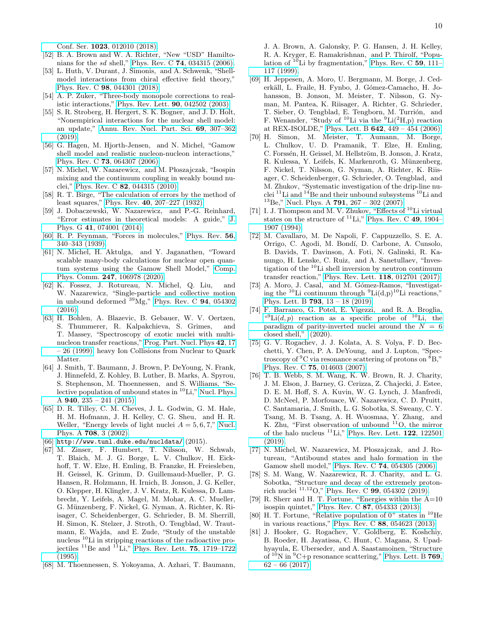Conf. Ser. 1023[, 012010 \(2018\).](http://dx.doi.org/10.1088/1742-6596/1023/1/012010)

- <span id="page-9-0"></span>[52] B. A. Brown and W. A. Richter, "New "USD" Hamiltonians for the sd shell," Phys. Rev. C 74[, 034315 \(2006\).](http://dx.doi.org/ 10.1103/PhysRevC.74.034315)
- <span id="page-9-1"></span>[53] L. Huth, V. Durant, J. Simonis, and A. Schwenk, "Shellmodel interactions from chiral effective field theory," Phys. Rev. C 98[, 044301 \(2018\).](http://dx.doi.org/10.1103/PhysRevC.98.044301)
- <span id="page-9-2"></span>[54] A. P. Zuker, "Three-body monopole corrections to realistic interactions," [Phys. Rev. Lett.](http://dx.doi.org/ 10.1103/PhysRevLett.90.042502) 90, 042502 (2003).
- <span id="page-9-3"></span>[55] S. R. Stroberg, H. Hergert, S. K. Bogner, and J. D. Holt, "Nonempirical interactions for the nuclear shell model: an update," [Annu. Rev. Nucl. Part. Sci.](http://dx.doi.org/ 10.1146/annurev-nucl-101917-021120) 69, 307–362 [\(2019\).](http://dx.doi.org/ 10.1146/annurev-nucl-101917-021120)
- <span id="page-9-4"></span>[56] G. Hagen, M. Hjorth-Jensen, and N. Michel, "Gamow shell model and realistic nucleon-nucleon interactions," Phys. Rev. C 73[, 064307 \(2006\).](http://dx.doi.org/ 10.1103/PhysRevC.73.064307)
- <span id="page-9-5"></span>[57] N. Michel, W. Nazarewicz, and M. Płoszajczak, "Isospin mixing and the continuum coupling in weakly bound nuclei," Phys. Rev. C 82[, 044315 \(2010\).](http://dx.doi.org/ 10.1103/PhysRevC.82.044315)
- <span id="page-9-6"></span>[58] R. T. Birge, "The calculation of errors by the method of least squares," Phys. Rev. 40[, 207–227 \(1932\).](http://dx.doi.org/ 10.1103/PhysRev.40.207)
- <span id="page-9-7"></span>[59] J. Dobaczewski, W. Nazarewicz, and P.-G. Reinhard, "Error estimates in theoretical models: A guide," [J.](http://dx.doi.org/ 10.1088/0954-3899/41/7/074001) Phys. G 41[, 074001 \(2014\).](http://dx.doi.org/ 10.1088/0954-3899/41/7/074001)
- <span id="page-9-8"></span>[60] R. P. Feynman, "Forces in molecules," [Phys. Rev.](http://dx.doi.org/10.1103/PhysRev.56.340) 56, [340–343 \(1939\).](http://dx.doi.org/10.1103/PhysRev.56.340)
- <span id="page-9-9"></span>[61] N. Michel, H. Aktulga, and Y. Jaganathen, "Toward scalable many-body calculations for nuclear open quantum systems using the Gamow Shell Model," [Comp.](http://dx.doi.org/10.1016/j.cpc.2019.106978) Phys. Comm. 247[, 106978 \(2020\).](http://dx.doi.org/10.1016/j.cpc.2019.106978)
- <span id="page-9-10"></span>[62] K. Fossez, J. Rotureau, N. Michel, Q. Liu, and W. Nazarewicz, "Single-particle and collective motion in unbound deformed  $^{39}Mg$ ," [Phys. Rev. C](http://dx.doi.org/10.1103/PhysRevC.94.054302) 94, 054302  $(2016).$
- <span id="page-9-21"></span>[63] H. Bohlen, A. Blazevic, B. Gebauer, W. V. Oertzen, S. Thummerer, R. Kalpakchieva, S. Grimes, and T. Massey, "Spectroscopy of exotic nuclei with multinucleon transfer reactions," [Prog. Part. Nucl. Phys](http://dx.doi.org/10.1016/S0146-6410(99)00056-3) 42, 17 [– 26 \(1999\),](http://dx.doi.org/10.1016/S0146-6410(99)00056-3) heavy Ion Collisions from Nuclear to Quark Matter.
- <span id="page-9-22"></span>[64] J. Smith, T. Baumann, J. Brown, P. DeYoung, N. Frank, J. Hinnefeld, Z. Kohley, B. Luther, B. Marks, A. Spyrou, S. Stephenson, M. Thoennessen, and S. Williams, "Selective population of unbound states in  ${}^{10}$ Li," [Nucl. Phys.](http://dx.doi.org/10.1016/j.nuclphysa.2015.04.011) A  $940$ ,  $235 - 241$  (2015).
- <span id="page-9-11"></span>[65] D. R. Tilley, C. M. Cheves, J. L. Godwin, G. M. Hale, H. M. Hofmann, J. H. Kelley, C. G. Sheu, and H. R. Weller, "Energy levels of light nuclei  $A = 5, 6, 7,$ " [Nucl.](http://dx.doi.org/10.1016/S0375-9474(02)00597-3) Phys. A 708[, 3 \(2002\).](http://dx.doi.org/10.1016/S0375-9474(02)00597-3)
- <span id="page-9-12"></span> $[66]$  <http://www.tunl.duke.edu/nucldata/> $(2015)$ .
- <span id="page-9-13"></span>[67] M. Zinser, F. Humbert, T. Nilsson, W. Schwab, T. Blaich, M. J. G. Borge, L. V. Chulkov, H. Eickhoff, T. W. Elze, H. Emling, B. Franzke, H. Freiesleben, H. Geissel, K. Grimm, D. Guillemaud-Mueller, P. G. Hansen, R. Holzmann, H. Irnich, B. Jonson, J. G. Keller, O. Klepper, H. Klingler, J. V. Kratz, R. Kulessa, D. Lambrecht, Y. Leifels, A. Magel, M. Mohar, A. C. Mueller, G. M¨unzenberg, F. Nickel, G. Nyman, A. Richter, K. Riisager, C. Scheidenberger, G. Schrieder, B. M. Sherrill, H. Simon, K. Stelzer, J. Stroth, O. Tengblad, W. Trautmann, E. Wajda, and E. Zude, "Study of the unstable nucleus <sup>10</sup>Li in stripping reactions of the radioactive projectiles  $^{11}$ Be and  $^{11}$ Li," [Phys. Rev. Lett.](http://dx.doi.org/ 10.1103/PhysRevLett.75.1719) **75**, 1719–1722 [\(1995\).](http://dx.doi.org/ 10.1103/PhysRevLett.75.1719)
- [68] M. Thoennessen, S. Yokoyama, A. Azhari, T. Baumann,

J. A. Brown, A. Galonsky, P. G. Hansen, J. H. Kelley, R. A. Kryger, E. Ramakrishnan, and P. Thirolf, "Population of  $^{10}$ Li by fragmentation," [Phys. Rev. C](http://dx.doi.org/10.1103/PhysRevC.59.111) 59, 111– [117 \(1999\).](http://dx.doi.org/10.1103/PhysRevC.59.111)

- [69] H. Jeppesen, A. Moro, U. Bergmann, M. Borge, J. Cederkäll, L. Fraile, H. Fynbo, J. Gómez-Camacho, H. Johansson, B. Jonson, M. Meister, T. Nilsson, G. Nyman, M. Pantea, K. Riisager, A. Richter, G. Schrieder, T. Sieber, O. Tengblad, E. Tengborn, M. Turrión, and F. Wenander, "Study of  $^{10}$ Li via the  $^{9}$ Li( $^{2}$ H,p) reaction at REX-ISOLDE," Phys. Lett. B 642[, 449 – 454 \(2006\).](http://dx.doi.org/10.1016/j.physletb.2006.09.060)
- <span id="page-9-14"></span>[70] H. Simon, M. Meister, T. Aumann, M. Borge, L. Chulkov, U. D. Pramanik, T. Elze, H. Emling, C. Forssén, H. Geissel, M. Hellström, B. Jonson, J. Kratz, R. Kulessa, Y. Leifels, K. Markenroth, G. Münzenberg, F. Nickel, T. Nilsson, G. Nyman, A. Richter, K. Riisager, C. Scheidenberger, G. Schrieder, O. Tengblad, and M. Zhukov, "Systematic investigation of the drip-line nuclei  $^{11}$ Li and  $^{14}$ Be and their unbound subsystems  $^{10}$ Li and  $^{13}$ Be," Nucl. Phys. A **791**[, 267 – 302 \(2007\).](http://dx.doi.org/ 10.1016/j.nuclphysa.2007.04.021)
- <span id="page-9-15"></span>[71] I. J. Thompson and M. V. Zhukov, "Effects of <sup>10</sup>Li virtual states on the structure of  ${}^{11}$ Li," [Phys. Rev. C](http://dx.doi.org/10.1103/PhysRevC.49.1904) 49, 1904– [1907 \(1994\).](http://dx.doi.org/10.1103/PhysRevC.49.1904)
- <span id="page-9-16"></span>[72] M. Cavallaro, M. De Napoli, F. Cappuzzello, S. E. A. Orrigo, C. Agodi, M. Bond´ı, D. Carbone, A. Cunsolo, B. Davids, T. Davinson, A. Foti, N. Galinski, R. Kanungo, H. Lenske, C. Ruiz, and A. Sanetullaev, "Investigation of the <sup>10</sup>Li shell inversion by neutron continuum transfer reaction," [Phys. Rev. Lett.](http://dx.doi.org/ 10.1103/PhysRevLett.118.012701) 118, 012701 (2017).
- <span id="page-9-17"></span>[73] A. Moro, J. Casal, and M. Gómez-Ramos, "Investigating the <sup>10</sup>Li continuum through  ${}^{9}$ Li(d,p)<sup>10</sup>Li reactions," Phys. Lett. B 793[, 13 – 18 \(2019\).](http://dx.doi.org/10.1016/j.physletb.2019.04.015)
- <span id="page-9-18"></span>[74] F. Barranco, G. Potel, E. Vigezzi, and R. A. Broglia, " $\text{Li}(d, p)$  reaction as a specific probe of  $^{10}\text{Li}$ , the [paradigm of parity-inverted nuclei around the](http://dx.doi.org/10.1103/PhysRevC.101.031305)  $N = 6$ [closed shell,"](http://dx.doi.org/10.1103/PhysRevC.101.031305) (2020).
- <span id="page-9-23"></span>[75] G. V. Rogachev, J. J. Kolata, A. S. Volya, F. D. Becchetti, Y. Chen, P. A. DeYoung, and J. Lupton, "Spectroscopy of  ${}^{9}C$  via resonance scattering of protons on  ${}^{8}B$ ," Phys. Rev. C 75[, 014603 \(2007\).](http://dx.doi.org/ 10.1103/PhysRevC.75.014603)
- <span id="page-9-24"></span>[76] T. B. Webb, S. M. Wang, K. W. Brown, R. J. Charity, J. M. Elson, J. Barney, G. Cerizza, Z. Chajecki, J. Estee, D. E. M. Hoff, S. A. Kuvin, W. G. Lynch, J. Manfredi, D. McNeel, P. Morfouace, W. Nazarewicz, C. D. Pruitt, C. Santamaria, J. Smith, L. G. Sobotka, S. Sweany, C. Y. Tsang, M. B. Tsang, A. H. Wuosmaa, Y. Zhang, and K. Zhu, "First observation of unbound <sup>11</sup>O, the mirror of the halo nucleus  ${}^{11}$ Li," [Phys. Rev. Lett.](http://dx.doi.org/ 10.1103/PhysRevLett.122.122501) 122, 122501 [\(2019\).](http://dx.doi.org/ 10.1103/PhysRevLett.122.122501)
- <span id="page-9-19"></span>[77] N. Michel, W. Nazarewicz, M. Płoszajczak, and J. Rotureau, "Antibound states and halo formation in the Gamow shell model," Phys. Rev. C 74[, 054305 \(2006\).](http://dx.doi.org/10.1103/PhysRevC.74.054305)
- <span id="page-9-20"></span>[78] S. M. Wang, W. Nazarewicz, R. J. Charity, and L. G. Sobotka, "Structure and decay of the extremely protonrich nuclei <sup>11</sup>,<sup>12</sup>O," Phys. Rev. C 99[, 054302 \(2019\).](http://dx.doi.org/ 10.1103/PhysRevC.99.054302)
- <span id="page-9-25"></span>[79] R. Sherr and H. T. Fortune, "Energies within the A=10 isospin quintet," Phys. Rev. C 87[, 054333 \(2013\).](http://dx.doi.org/10.1103/PhysRevC.87.054333)
- <span id="page-9-26"></span>[80] H. T. Fortune, "Relative population of  $0^+$  states in  $^{10}$ He in various reactions," Phys. Rev. C 88[, 054623 \(2013\).](http://dx.doi.org/10.1103/PhysRevC.88.054623)
- <span id="page-9-27"></span>[81] J. Hooker, G. Rogachev, V. Goldberg, E. Koshchiy, B. Roeder, H. Jayatissa, C. Hunt, C. Magana, S. Upadhyayula, E. Uberseder, and A. Saastamoinen, "Structure of  $10^{\circ}$ N in  $^{9}$ C+p resonance scattering," [Phys. Lett. B](http://dx.doi.org/ 10.1016/j.physletb.2017.03.025) **769**,  $62 - 66$  (2017).